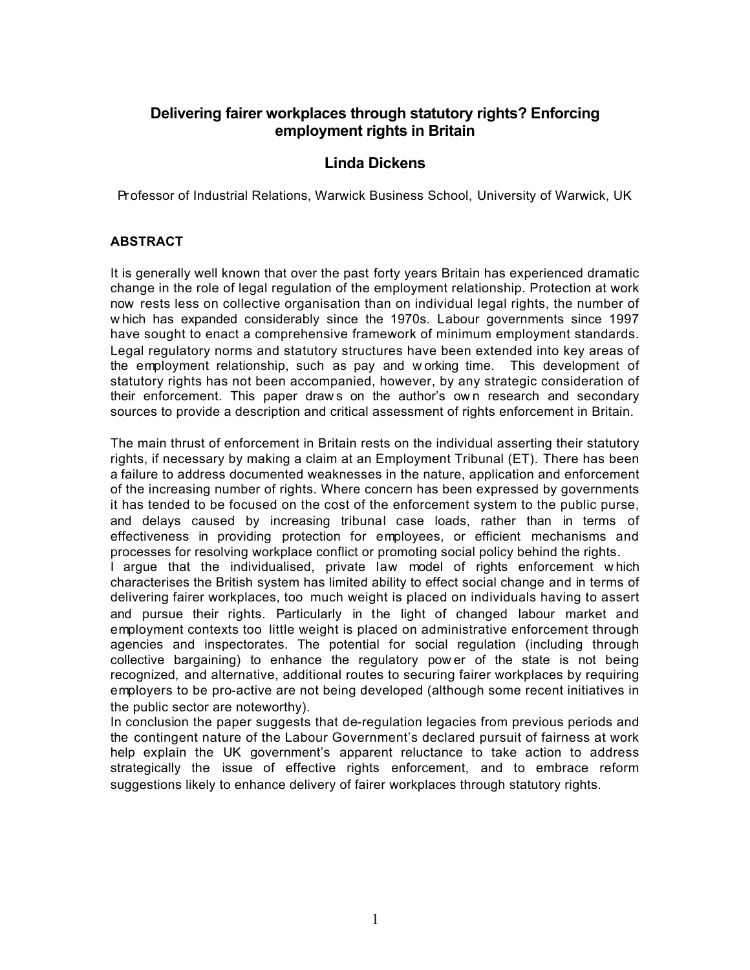## **Delivering fairer workplaces through statutory rights? Enforcing employment rights in Britain**

#### **Linda Dickens**

Professor of Industrial Relations, Warwick Business School, University of Warwick, UK

#### **ABSTRACT**

It is generally well known that over the past forty years Britain has experienced dramatic change in the role of legal regulation of the employment relationship. Protection at work now rests less on collective organisation than on individual legal rights, the number of w hich has expanded considerably since the 1970s. Labour governments since 1997 have sought to enact a comprehensive framework of minimum employment standards. Legal regulatory norms and statutory structures have been extended into key areas of the employment relationship, such as pay and w orking time. This development of statutory rights has not been accompanied, however, by any strategic consideration of their enforcement. This paper draw s on the author's ow n research and secondary sources to provide a description and critical assessment of rights enforcement in Britain.

The main thrust of enforcement in Britain rests on the individual asserting their statutory rights, if necessary by making a claim at an Employment Tribunal (ET). There has been a failure to address documented weaknesses in the nature, application and enforcement of the increasing number of rights. Where concern has been expressed by governments it has tended to be focused on the cost of the enforcement system to the public purse, and delays caused by increasing tribunal case loads, rather than in terms of effectiveness in providing protection for employees, or efficient mechanisms and processes for resolving workplace conflict or promoting social policy behind the rights.

I argue that the individualised, private law model of rights enforcement w hich characterises the British system has limited ability to effect social change and in terms of delivering fairer workplaces, too much weight is placed on individuals having to assert and pursue their rights. Particularly in the light of changed labour market and employment contexts too little weight is placed on administrative enforcement through agencies and inspectorates. The potential for social regulation (including through collective bargaining) to enhance the regulatory pow er of the state is not being recognized, and alternative, additional routes to securing fairer workplaces by requiring employers to be pro-active are not being developed (although some recent initiatives in the public sector are noteworthy).

In conclusion the paper suggests that de-regulation legacies from previous periods and the contingent nature of the Labour Government's declared pursuit of fairness at work help explain the UK government's apparent reluctance to take action to address strategically the issue of effective rights enforcement, and to embrace reform suggestions likely to enhance delivery of fairer workplaces through statutory rights.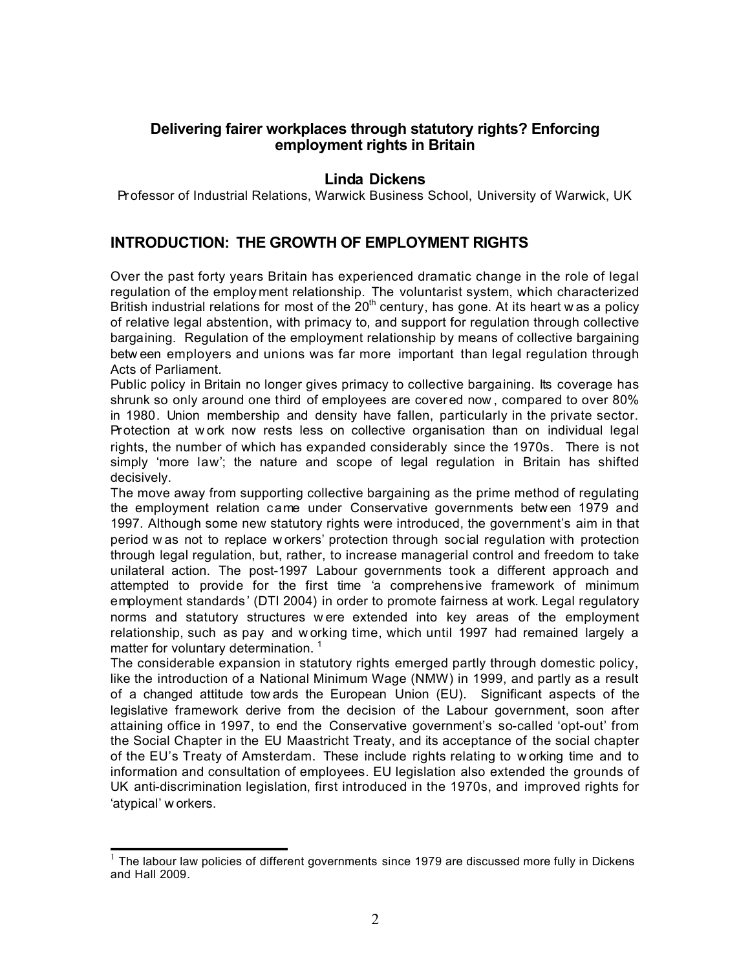#### **Delivering fairer workplaces through statutory rights? Enforcing employment rights in Britain**

#### **Linda Dickens**

Professor of Industrial Relations, Warwick Business School, University of Warwick, UK

### **INTRODUCTION: THE GROWTH OF EMPLOYMENT RIGHTS**

Over the past forty years Britain has experienced dramatic change in the role of legal regulation of the employment relationship. The voluntarist system, which characterized British industrial relations for most of the  $20<sup>th</sup>$  century, has gone. At its heart w as a policy of relative legal abstention, with primacy to, and support for regulation through collective bargaining. Regulation of the employment relationship by means of collective bargaining betw een employers and unions was far more important than legal regulation through Acts of Parliament.

Public policy in Britain no longer gives primacy to collective bargaining. Its coverage has shrunk so only around one third of employees are covered now , compared to over 80% in 1980. Union membership and density have fallen, particularly in the private sector. Protection at w ork now rests less on collective organisation than on individual legal rights, the number of which has expanded considerably since the 1970s. There is not simply 'more law'; the nature and scope of legal regulation in Britain has shifted decisively.

The move away from supporting collective bargaining as the prime method of regulating the employment relation came under Conservative governments betw een 1979 and 1997. Although some new statutory rights were introduced, the government's aim in that period w as not to replace w orkers' protection through soc ial regulation with protection through legal regulation, but, rather, to increase managerial control and freedom to take unilateral action. The post-1997 Labour governments took a different approach and attempted to provide for the first time 'a comprehens ive framework of minimum employment standards ' (DTI 2004) in order to promote fairness at work. Legal regulatory norms and statutory structures w ere extended into key areas of the employment relationship, such as pay and w orking time, which until 1997 had remained largely a matter for voluntary determination.  $1$ 

The considerable expansion in statutory rights emerged partly through domestic policy, like the introduction of a National Minimum Wage (NMW) in 1999, and partly as a result of a changed attitude tow ards the European Union (EU). Significant aspects of the legislative framework derive from the decision of the Labour government, soon after attaining office in 1997, to end the Conservative government's so-called 'opt-out' from the Social Chapter in the EU Maastricht Treaty, and its acceptance of the social chapter of the EU's Treaty of Amsterdam. These include rights relating to w orking time and to information and consultation of employees. EU legislation also extended the grounds of UK anti-discrimination legislation, first introduced in the 1970s, and improved rights for 'atypical' w orkers.

<sup>1&</sup>lt;br>The labour law policies of different governments since 1979 are discussed more fully in Dickens and Hall 2009.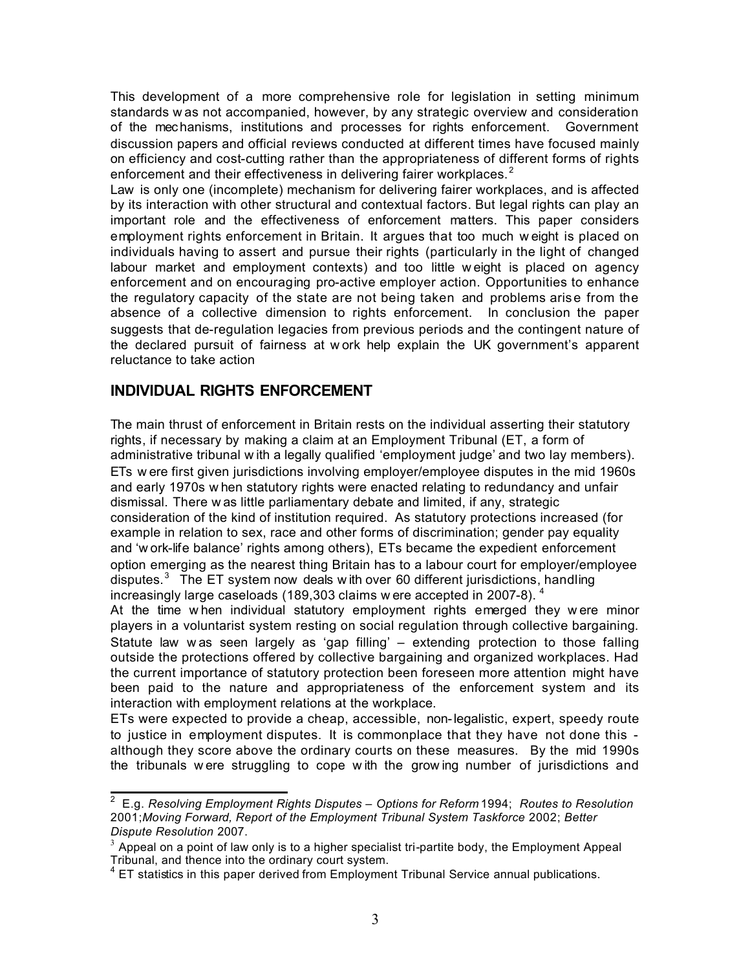This development of a more comprehensive role for legislation in setting minimum standards w as not accompanied, however, by any strategic overview and consideration of the mechanisms, institutions and processes for rights enforcement. Government discussion papers and official reviews conducted at different times have focused mainly on efficiency and cost-cutting rather than the appropriateness of different forms of rights enforcement and their effectiveness in delivering fairer workplaces. $2^2$ 

Law is only one (incomplete) mechanism for delivering fairer workplaces, and is affected by its interaction with other structural and contextual factors. But legal rights can play an important role and the effectiveness of enforcement matters. This paper considers employment rights enforcement in Britain. It argues that too much w eight is placed on individuals having to assert and pursue their rights (particularly in the light of changed labour market and employment contexts) and too little w eight is placed on agency enforcement and on encouraging pro-active employer action. Opportunities to enhance the regulatory capacity of the state are not being taken and problems arise from the absence of a collective dimension to rights enforcement. In conclusion the paper suggests that de-regulation legacies from previous periods and the contingent nature of the declared pursuit of fairness at w ork help explain the UK government's apparent reluctance to take action

### **INDIVIDUAL RIGHTS ENFORCEMENT**

The main thrust of enforcement in Britain rests on the individual asserting their statutory rights, if necessary by making a claim at an Employment Tribunal (ET, a form of administrative tribunal w ith a legally qualified 'employment judge' and two lay members). ETs w ere first given jurisdictions involving employer/employee disputes in the mid 1960s and early 1970s w hen statutory rights were enacted relating to redundancy and unfair dismissal. There w as little parliamentary debate and limited, if any, strategic consideration of the kind of institution required. As statutory protections increased (for example in relation to sex, race and other forms of discrimination; gender pay equality and 'w ork-life balance' rights among others), ETs became the expedient enforcement option emerging as the nearest thing Britain has to a labour court for employer/employee disputes. $3$  The ET system now deals with over 60 different jurisdictions, handling increasingly large caseloads (189,303 claims w ere accepted in 2007-8).  $^4$ 

At the time w hen individual statutory employment rights emerged they w ere minor players in a voluntarist system resting on social regulation through collective bargaining. Statute law was seen largely as 'gap filling' – extending protection to those falling outside the protections offered by collective bargaining and organized workplaces. Had the current importance of statutory protection been foreseen more attention might have been paid to the nature and appropriateness of the enforcement system and its interaction with employment relations at the workplace.

ETs were expected to provide a cheap, accessible, non-legalistic, expert, speedy route to justice in employment disputes. It is commonplace that they have not done this although they score above the ordinary courts on these measures. By the mid 1990s the tribunals w ere struggling to cope w ith the grow ing number of jurisdictions and

 $\overline{a}$ <sup>2</sup> E.g. *Resolving Employment Rights Disputes – Options for Reform* 1994; *Routes to Resolution* 2001;*Moving Forward, Report of the Employment Tribunal System Taskforce* 2002; *Better Dispute Resolution* 2007.

 $3$  Appeal on a point of law only is to a higher specialist tri-partite body, the Employment Appeal Tribunal, and thence into the ordinary court system.

 $4$  ET statistics in this paper derived from Employment Tribunal Service annual publications.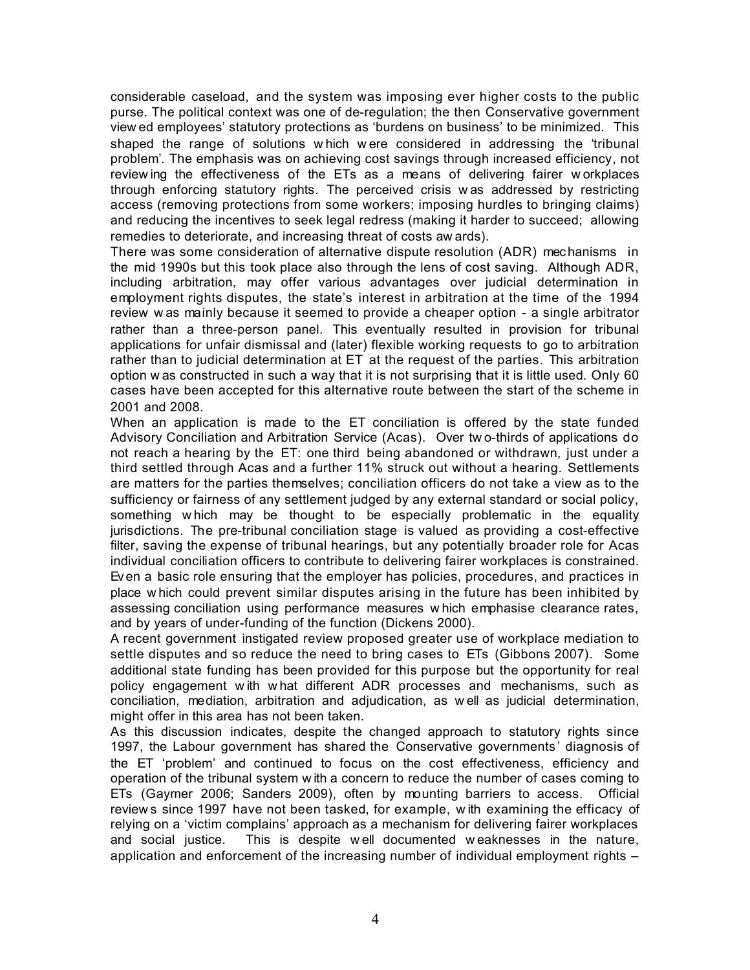considerable caseload, and the system was imposing ever higher costs to the public purse. The political context was one of de-regulation; the then Conservative government view ed employees' statutory protections as 'burdens on business' to be minimized. This shaped the range of solutions w hich w ere considered in addressing the 'tribunal problem'. The emphasis was on achieving cost savings through increased efficiency, not review ing the effectiveness of the ETs as a means of delivering fairer w orkplaces through enforcing statutory rights. The perceived crisis w as addressed by restricting access (removing protections from some workers; imposing hurdles to bringing claims) and reducing the incentives to seek legal redress (making it harder to succeed; allowing remedies to deteriorate, and increasing threat of costs aw ards).

There was some consideration of alternative dispute resolution (ADR) mechanisms in the mid 1990s but this took place also through the lens of cost saving. Although ADR, including arbitration, may offer various advantages over judicial determination in employment rights disputes, the state's interest in arbitration at the time of the 1994 review w as mainly because it seemed to provide a cheaper option - a single arbitrator rather than a three-person panel. This eventually resulted in provision for tribunal applications for unfair dismissal and (later) flexible working requests to go to arbitration rather than to judicial determination at ET at the request of the parties. This arbitration option w as constructed in such a way that it is not surprising that it is little used. Only 60 cases have been accepted for this alternative route between the start of the scheme in 2001 and 2008.

When an application is made to the ET conciliation is offered by the state funded Advisory Conciliation and Arbitration Service (Acas). Over tw o-thirds of applications do not reach a hearing by the ET: one third being abandoned or withdrawn, just under a third settled through Acas and a further 11% struck out without a hearing. Settlements are matters for the parties themselves; conciliation officers do not take a view as to the sufficiency or fairness of any settlement judged by any external standard or social policy, something w hich may be thought to be especially problematic in the equality jurisdictions. The pre-tribunal conciliation stage is valued as providing a cost-effective filter, saving the expense of tribunal hearings, but any potentially broader role for Acas individual conciliation officers to contribute to delivering fairer workplaces is constrained. Even a basic role ensuring that the employer has policies, procedures, and practices in place w hich could prevent similar disputes arising in the future has been inhibited by assessing conciliation using performance measures w hich emphasise clearance rates, and by years of under-funding of the function (Dickens 2000).

A recent government instigated review proposed greater use of workplace mediation to settle disputes and so reduce the need to bring cases to ETs (Gibbons 2007). Some additional state funding has been provided for this purpose but the opportunity for real policy engagement w ith w hat different ADR processes and mechanisms, such as conciliation, mediation, arbitration and adjudication, as w ell as judicial determination, might offer in this area has not been taken.

As this discussion indicates, despite the changed approach to statutory rights since 1997, the Labour government has shared the Conservative governments ' diagnosis of the ET 'problem' and continued to focus on the cost effectiveness, efficiency and operation of the tribunal system w ith a concern to reduce the number of cases coming to ETs (Gaymer 2006; Sanders 2009), often by mounting barriers to access. Official review s since 1997 have not been tasked, for example, w ith examining the efficacy of relying on a 'victim complains' approach as a mechanism for delivering fairer workplaces and social justice. This is despite w ell documented w eaknesses in the nature, application and enforcement of the increasing number of individual employment rights –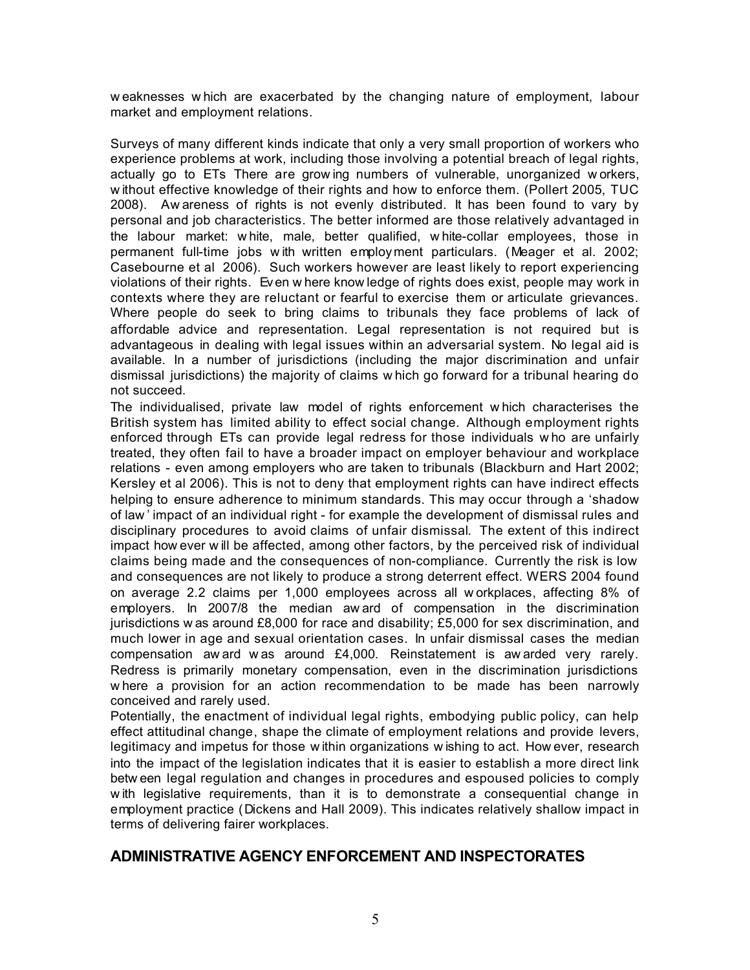w eaknesses w hich are exacerbated by the changing nature of employment, labour market and employment relations.

Surveys of many different kinds indicate that only a very small proportion of workers who experience problems at work, including those involving a potential breach of legal rights, actually go to ETs There are grow ing numbers of vulnerable, unorganized w orkers, w ithout effective knowledge of their rights and how to enforce them. (Pollert 2005, TUC 2008). Aw areness of rights is not evenly distributed. It has been found to vary by personal and job characteristics. The better informed are those relatively advantaged in the labour market: w hite, male, better qualified, w hite-collar employees, those in permanent full-time jobs w ith written employment particulars. (Meager et al. 2002; Casebourne et al 2006). Such workers however are least likely to report experiencing violations of their rights. Even w here know ledge of rights does exist, people may work in contexts where they are reluctant or fearful to exercise them or articulate grievances. Where people do seek to bring claims to tribunals they face problems of lack of affordable advice and representation. Legal representation is not required but is advantageous in dealing with legal issues within an adversarial system. No legal aid is available. In a number of jurisdictions (including the major discrimination and unfair dismissal jurisdictions) the majority of claims w hich go forward for a tribunal hearing do not succeed.

The individualised, private law model of rights enforcement w hich characterises the British system has limited ability to effect social change. Although employment rights enforced through ETs can provide legal redress for those individuals w ho are unfairly treated, they often fail to have a broader impact on employer behaviour and workplace relations - even among employers who are taken to tribunals (Blackburn and Hart 2002; Kersley et al 2006). This is not to deny that employment rights can have indirect effects helping to ensure adherence to minimum standards. This may occur through a 'shadow of law ' impact of an individual right - for example the development of dismissal rules and disciplinary procedures to avoid claims of unfair dismissal. The extent of this indirect impact how ever w ill be affected, among other factors, by the perceived risk of individual claims being made and the consequences of non-compliance. Currently the risk is low and consequences are not likely to produce a strong deterrent effect. WERS 2004 found on average 2.2 claims per 1,000 employees across all w orkplaces, affecting 8% of employers. In 2007/8 the median aw ard of compensation in the discrimination jurisdictions w as around £8,000 for race and disability; £5,000 for sex discrimination, and much lower in age and sexual orientation cases. In unfair dismissal cases the median compensation aw ard w as around £4,000. Reinstatement is aw arded very rarely. Redress is primarily monetary compensation, even in the discrimination jurisdictions w here a provision for an action recommendation to be made has been narrowly conceived and rarely used.

Potentially, the enactment of individual legal rights, embodying public policy, can help effect attitudinal change, shape the climate of employment relations and provide levers, legitimacy and impetus for those w ithin organizations w ishing to act. How ever, research into the impact of the legislation indicates that it is easier to establish a more direct link betw een legal regulation and changes in procedures and espoused policies to comply w ith legislative requirements, than it is to demonstrate a consequential change in employment practice (Dickens and Hall 2009). This indicates relatively shallow impact in terms of delivering fairer workplaces.

#### **ADMINISTRATIVE AGENCY ENFORCEMENT AND INSPECTORATES**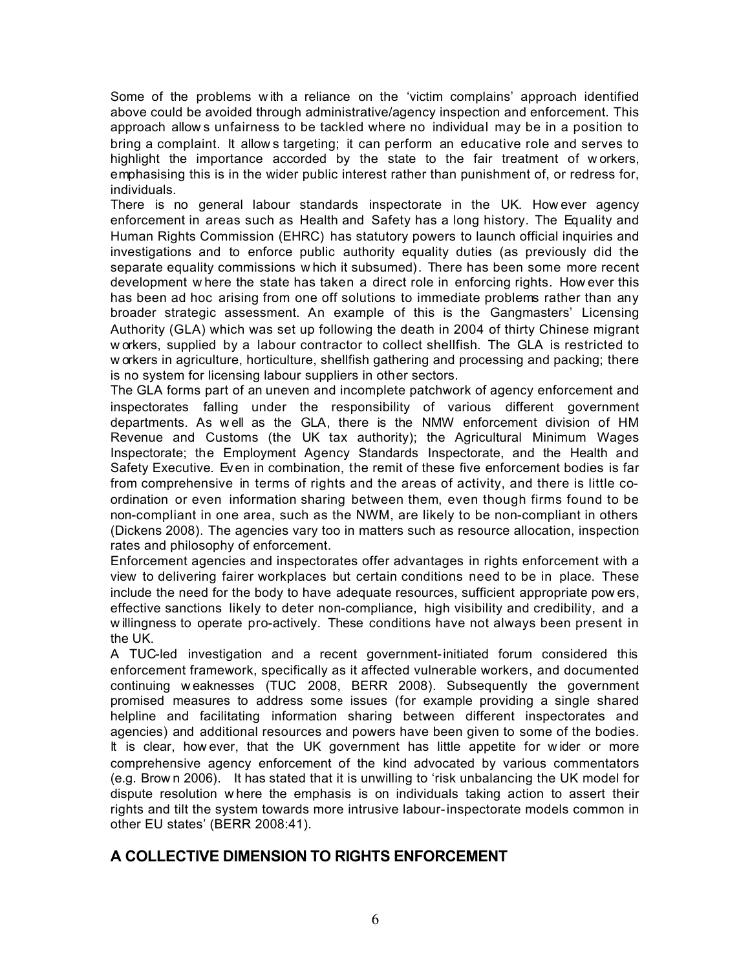Some of the problems w ith a reliance on the 'victim complains' approach identified above could be avoided through administrative/agency inspection and enforcement. This approach allow s unfairness to be tackled where no individual may be in a position to bring a complaint. It allow s targeting; it can perform an educative role and serves to highlight the importance accorded by the state to the fair treatment of w orkers, emphasising this is in the wider public interest rather than punishment of, or redress for, individuals.

There is no general labour standards inspectorate in the UK. How ever agency enforcement in areas such as Health and Safety has a long history. The Equality and Human Rights Commission (EHRC) has statutory powers to launch official inquiries and investigations and to enforce public authority equality duties (as previously did the separate equality commissions w hich it subsumed). There has been some more recent development w here the state has taken a direct role in enforcing rights. How ever this has been ad hoc arising from one off solutions to immediate problems rather than any broader strategic assessment. An example of this is the Gangmasters' Licensing Authority (GLA) which was set up following the death in 2004 of thirty Chinese migrant w orkers, supplied by a labour contractor to collect shellfish. The GLA is restricted to w orkers in agriculture, horticulture, shellfish gathering and processing and packing; there is no system for licensing labour suppliers in other sectors.

The GLA forms part of an uneven and incomplete patchwork of agency enforcement and inspectorates falling under the responsibility of various different government departments. As w ell as the GLA, there is the NMW enforcement division of HM Revenue and Customs (the UK tax authority); the Agricultural Minimum Wages Inspectorate; the Employment Agency Standards Inspectorate, and the Health and Safety Executive. Even in combination, the remit of these five enforcement bodies is far from comprehensive in terms of rights and the areas of activity, and there is little coordination or even information sharing between them, even though firms found to be non-compliant in one area, such as the NWM, are likely to be non-compliant in others (Dickens 2008). The agencies vary too in matters such as resource allocation, inspection rates and philosophy of enforcement.

Enforcement agencies and inspectorates offer advantages in rights enforcement with a view to delivering fairer workplaces but certain conditions need to be in place. These include the need for the body to have adequate resources, sufficient appropriate pow ers, effective sanctions likely to deter non-compliance, high visibility and credibility, and a w illingness to operate pro-actively. These conditions have not always been present in the UK.

A TUC-led investigation and a recent government-initiated forum considered this enforcement framework, specifically as it affected vulnerable workers, and documented continuing w eaknesses (TUC 2008, BERR 2008). Subsequently the government promised measures to address some issues (for example providing a single shared helpline and facilitating information sharing between different inspectorates and agencies) and additional resources and powers have been given to some of the bodies. It is clear, how ever, that the UK government has little appetite for wider or more comprehensive agency enforcement of the kind advocated by various commentators (e.g. Brow n 2006). It has stated that it is unwilling to 'risk unbalancing the UK model for dispute resolution w here the emphasis is on individuals taking action to assert their rights and tilt the system towards more intrusive labour-inspectorate models common in other EU states' (BERR 2008:41).

## **A COLLECTIVE DIMENSION TO RIGHTS ENFORCEMENT**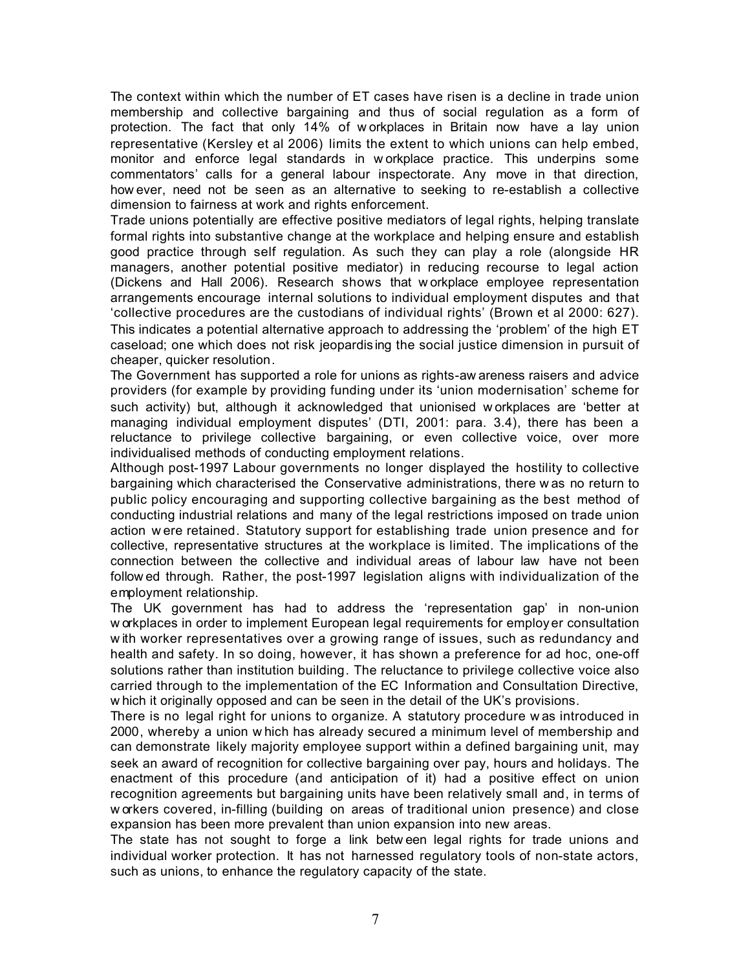The context within which the number of ET cases have risen is a decline in trade union membership and collective bargaining and thus of social regulation as a form of protection. The fact that only 14% of w orkplaces in Britain now have a lay union representative (Kersley et al 2006) limits the extent to which unions can help embed, monitor and enforce legal standards in w orkplace practice. This underpins some commentators' calls for a general labour inspectorate. Any move in that direction, how ever, need not be seen as an alternative to seeking to re-establish a collective dimension to fairness at work and rights enforcement.

Trade unions potentially are effective positive mediators of legal rights, helping translate formal rights into substantive change at the workplace and helping ensure and establish good practice through self regulation. As such they can play a role (alongside HR managers, another potential positive mediator) in reducing recourse to legal action (Dickens and Hall 2006). Research shows that w orkplace employee representation arrangements encourage internal solutions to individual employment disputes and that 'collective procedures are the custodians of individual rights' (Brown et al 2000: 627). This indicates a potential alternative approach to addressing the 'problem' of the high ET caseload; one which does not risk jeopardis ing the social justice dimension in pursuit of cheaper, quicker resolution.

The Government has supported a role for unions as rights-aw areness raisers and advice providers (for example by providing funding under its 'union modernisation' scheme for such activity) but, although it acknowledged that unionised w orkplaces are 'better at managing individual employment disputes' (DTI, 2001: para. 3.4), there has been a reluctance to privilege collective bargaining, or even collective voice, over more individualised methods of conducting employment relations.

Although post-1997 Labour governments no longer displayed the hostility to collective bargaining which characterised the Conservative administrations, there w as no return to public policy encouraging and supporting collective bargaining as the best method of conducting industrial relations and many of the legal restrictions imposed on trade union action w ere retained. Statutory support for establishing trade union presence and for collective, representative structures at the workplace is limited. The implications of the connection between the collective and individual areas of labour law have not been follow ed through. Rather, the post-1997 legislation aligns with individualization of the employment relationship.

The UK government has had to address the 'representation gap' in non-union w orkplaces in order to implement European legal requirements for employ er consultation w ith worker representatives over a growing range of issues, such as redundancy and health and safety. In so doing, however, it has shown a preference for ad hoc, one-off solutions rather than institution building. The reluctance to privilege collective voice also carried through to the implementation of the EC Information and Consultation Directive, w hich it originally opposed and can be seen in the detail of the UK's provisions.

There is no legal right for unions to organize. A statutory procedure w as introduced in 2000, whereby a union w hich has already secured a minimum level of membership and can demonstrate likely majority employee support within a defined bargaining unit, may seek an award of recognition for collective bargaining over pay, hours and holidays. The enactment of this procedure (and anticipation of it) had a positive effect on union recognition agreements but bargaining units have been relatively small and, in terms of w orkers covered, in-filling (building on areas of traditional union presence) and close expansion has been more prevalent than union expansion into new areas.

The state has not sought to forge a link betw een legal rights for trade unions and individual worker protection. It has not harnessed regulatory tools of non-state actors, such as unions, to enhance the regulatory capacity of the state.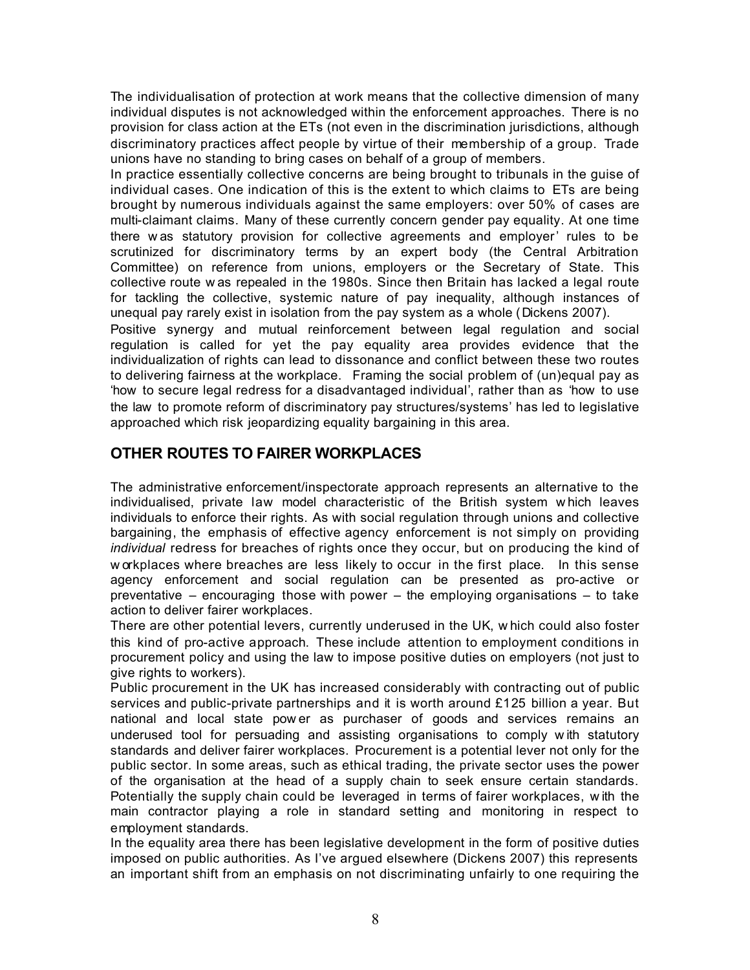The individualisation of protection at work means that the collective dimension of many individual disputes is not acknowledged within the enforcement approaches. There is no provision for class action at the ETs (not even in the discrimination jurisdictions, although discriminatory practices affect people by virtue of their membership of a group. Trade unions have no standing to bring cases on behalf of a group of members.

In practice essentially collective concerns are being brought to tribunals in the guise of individual cases. One indication of this is the extent to which claims to ETs are being brought by numerous individuals against the same employers: over 50% of cases are multi-claimant claims. Many of these currently concern gender pay equality. At one time there w as statutory provision for collective agreements and employer' rules to be scrutinized for discriminatory terms by an expert body (the Central Arbitration Committee) on reference from unions, employers or the Secretary of State. This collective route w as repealed in the 1980s. Since then Britain has lacked a legal route for tackling the collective, systemic nature of pay inequality, although instances of unequal pay rarely exist in isolation from the pay system as a whole (Dickens 2007).

Positive synergy and mutual reinforcement between legal regulation and social regulation is called for yet the pay equality area provides evidence that the individualization of rights can lead to dissonance and conflict between these two routes to delivering fairness at the workplace. Framing the social problem of (un)equal pay as 'how to secure legal redress for a disadvantaged individual', rather than as 'how to use the law to promote reform of discriminatory pay structures/systems' has led to legislative approached which risk jeopardizing equality bargaining in this area.

# **OTHER ROUTES TO FAIRER WORKPLACES**

The administrative enforcement/inspectorate approach represents an alternative to the individualised, private law model characteristic of the British system w hich leaves individuals to enforce their rights. As with social regulation through unions and collective bargaining, the emphasis of effective agency enforcement is not simply on providing *individual* redress for breaches of rights once they occur, but on producing the kind of w orkplaces where breaches are less likely to occur in the first place. In this sense agency enforcement and social regulation can be presented as pro-active or preventative – encouraging those with power – the employing organisations – to take action to deliver fairer workplaces.

There are other potential levers, currently underused in the UK, w hich could also foster this kind of pro-active approach. These include attention to employment conditions in procurement policy and using the law to impose positive duties on employers (not just to give rights to workers).

Public procurement in the UK has increased considerably with contracting out of public services and public-private partnerships and it is worth around £125 billion a year. But national and local state pow er as purchaser of goods and services remains an underused tool for persuading and assisting organisations to comply w ith statutory standards and deliver fairer workplaces. Procurement is a potential lever not only for the public sector. In some areas, such as ethical trading, the private sector uses the power of the organisation at the head of a supply chain to seek ensure certain standards. Potentially the supply chain could be leveraged in terms of fairer workplaces, w ith the main contractor playing a role in standard setting and monitoring in respect to employment standards.

In the equality area there has been legislative development in the form of positive duties imposed on public authorities. As I've argued elsewhere (Dickens 2007) this represents an important shift from an emphasis on not discriminating unfairly to one requiring the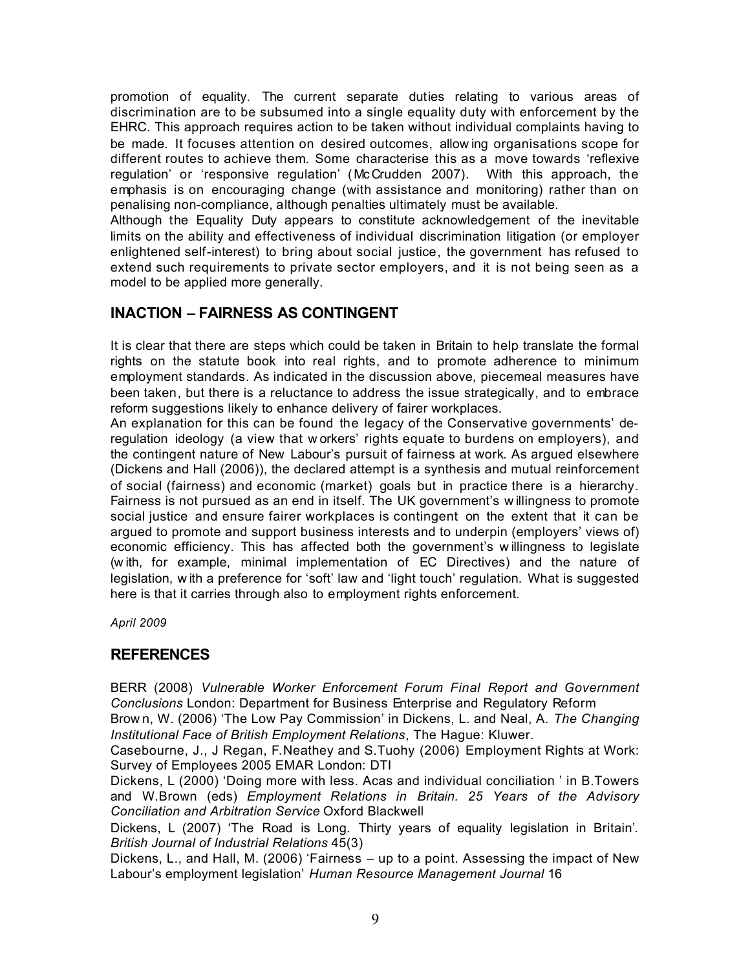promotion of equality. The current separate duties relating to various areas of discrimination are to be subsumed into a single equality duty with enforcement by the EHRC. This approach requires action to be taken without individual complaints having to be made. It focuses attention on desired outcomes, allow ing organisations scope for different routes to achieve them. Some characterise this as a move towards 'reflexive regulation' or 'responsive regulation' (McCrudden 2007). With this approach, the emphasis is on encouraging change (with assistance and monitoring) rather than on penalising non-compliance, although penalties ultimately must be available.

Although the Equality Duty appears to constitute acknowledgement of the inevitable limits on the ability and effectiveness of individual discrimination litigation (or employer enlightened self-interest) to bring about social justice, the government has refused to extend such requirements to private sector employers, and it is not being seen as a model to be applied more generally.

# **INACTION – FAIRNESS AS CONTINGENT**

It is clear that there are steps which could be taken in Britain to help translate the formal rights on the statute book into real rights, and to promote adherence to minimum employment standards. As indicated in the discussion above, piecemeal measures have been taken, but there is a reluctance to address the issue strategically, and to embrace reform suggestions likely to enhance delivery of fairer workplaces.

An explanation for this can be found the legacy of the Conservative governments' deregulation ideology (a view that w orkers' rights equate to burdens on employers), and the contingent nature of New Labour's pursuit of fairness at work. As argued elsewhere (Dickens and Hall (2006)), the declared attempt is a synthesis and mutual reinforcement of social (fairness) and economic (market) goals but in practice there is a hierarchy. Fairness is not pursued as an end in itself. The UK government's w illingness to promote social justice and ensure fairer workplaces is contingent on the extent that it can be argued to promote and support business interests and to underpin (employers' views of) economic efficiency. This has affected both the government's w illingness to legislate (w ith, for example, minimal implementation of EC Directives) and the nature of legislation, w ith a preference for 'soft' law and 'light touch' regulation. What is suggested here is that it carries through also to employment rights enforcement.

*April 2009*

## **REFERENCES**

BERR (2008) *Vulnerable Worker Enforcement Forum Final Report and Government Conclusions* London: Department for Business Enterprise and Regulatory Reform

Brow n, W. (2006) 'The Low Pay Commission' in Dickens, L. and Neal, A. *The Changing Institutional Face of British Employment Relations*, The Hague: Kluwer.

Casebourne, J., J Regan, F.Neathey and S.Tuohy (2006) Employment Rights at Work: Survey of Employees 2005 EMAR London: DTI

Dickens, L (2000) 'Doing more with less. Acas and individual conciliation ' in B.Towers and W.Brown (eds) *Employment Relations in Britain. 25 Years of the Advisory Conciliation and Arbitration Service* Oxford Blackwell

Dickens, L (2007) 'The Road is Long. Thirty years of equality legislation in Britain'*. British Journal of Industrial Relations* 45(3)

Dickens, L., and Hall, M. (2006) 'Fairness – up to a point. Assessing the impact of New Labour's employment legislation' *Human Resource Management Journal* 16